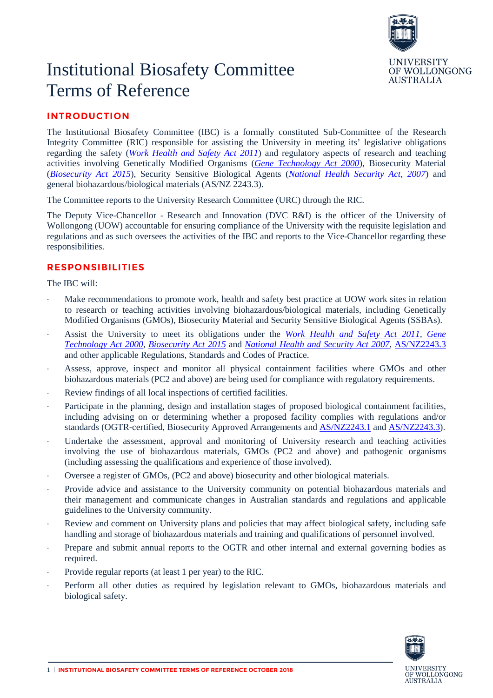

# Institutional Biosafety Committee Terms of Reference

## **INTRODUCTION**

The Institutional Biosafety Committee (IBC) is a formally constituted Sub-Committee of the Research Integrity Committee (RIC) responsible for assisting the University in meeting its' legislative obligations regarding the safety (*[Work Health and Safety Act 2011](https://www.legislation.gov.au/Details/C2017C00305)*) and regulatory aspects of research and teaching activities involving Genetically Modified Organisms (*[Gene Technology Act 2000](https://www.legislation.gov.au/Details/C2016C00792)*), Biosecurity Material (*[Biosecurity Act 2015](https://www.legislation.gov.au/Details/C2017C00303)*), Security Sensitive Biological Agents (*[National Health Security Act, 2007](https://www.legislation.gov.au/Details/C2016C00847)*) and general biohazardous/biological materials (AS/NZ 2243.3).

The Committee reports to the University Research Committee (URC) through the RIC.

The Deputy Vice-Chancellor - Research and Innovation (DVC R&I) is the officer of the University of Wollongong (UOW) accountable for ensuring compliance of the University with the requisite legislation and regulations and as such oversees the activities of the IBC and reports to the Vice-Chancellor regarding these responsibilities.

### **RESPONSIBILITIES**

The IBC will:

- Make recommendations to promote work, health and safety best practice at UOW work sites in relation to research or teaching activities involving biohazardous/biological materials, including Genetically Modified Organisms (GMOs), Biosecurity Material and Security Sensitive Biological Agents (SSBAs).
- ⋅ Assist the University to meet its obligations under the *[Work Health and Safety Act 2011,](https://www.legislation.gov.au/Details/C2017C00305) [Gene](https://www.legislation.gov.au/Details/C2016C00792)  [Technology Act 2000,](https://www.legislation.gov.au/Details/C2016C00792) [Biosecurity Act 2015](https://www.legislation.gov.au/Details/C2017C00303)* and *[National Health and Security Act 2007](https://www.legislation.gov.au/Details/C2016C00847)*, [AS/NZ2243.3](https://ablis.business.gov.au/service/ag/australian-new-zealand-standard-as-nzs-2243-3-2010-safety-in-laboratories-microbiological-safety-and-containment/31039) and other applicable Regulations, Standards and Codes of Practice.
- Assess, approve, inspect and monitor all physical containment facilities where GMOs and other biohazardous materials (PC2 and above) are being used for compliance with regulatory requirements.
- ⋅ Review findings of all local inspections of certified facilities.
- ⋅ Participate in the planning, design and installation stages of proposed biological containment facilities, including advising on or determining whether a proposed facility complies with regulations and/or standards (OGTR-certified, Biosecurity Approved Arrangements and [AS/NZ2243.1](https://infostore.saiglobal.com/en-au/standards/as-nzs-2243-set-2006-117309_SAIG_AS_AS_245497/) and [AS/NZ2243.3\)](https://infostore.saiglobal.com/en-au/standards/as-nzs-2243-set-2006-117309_SAIG_AS_AS_245497/).
- Undertake the assessment, approval and monitoring of University research and teaching activities involving the use of biohazardous materials, GMOs (PC2 and above) and pathogenic organisms (including assessing the qualifications and experience of those involved).
- ⋅ Oversee a register of GMOs, (PC2 and above) biosecurity and other biological materials.
- Provide advice and assistance to the University community on potential biohazardous materials and their management and communicate changes in Australian standards and regulations and applicable guidelines to the University community.
- ⋅ Review and comment on University plans and policies that may affect biological safety, including safe handling and storage of biohazardous materials and training and qualifications of personnel involved.
- Prepare and submit annual reports to the OGTR and other internal and external governing bodies as required.
- Provide regular reports (at least 1 per year) to the RIC.
- Perform all other duties as required by legislation relevant to GMOs, biohazardous materials and biological safety.